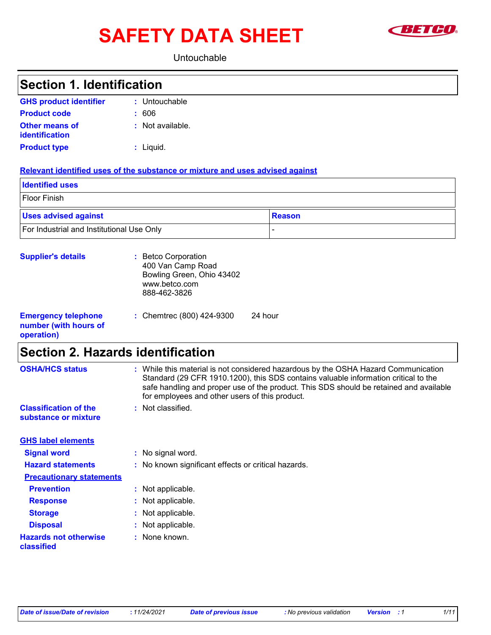# SAFETY DATA SHEET **SAFETY**



#### Untouchable

| <b>Section 1. Identification</b>                                  |                                                                                                                                                                                                                                                                                                                                          |
|-------------------------------------------------------------------|------------------------------------------------------------------------------------------------------------------------------------------------------------------------------------------------------------------------------------------------------------------------------------------------------------------------------------------|
| <b>GHS product identifier</b>                                     | : Untouchable                                                                                                                                                                                                                                                                                                                            |
| <b>Product code</b>                                               | : 606                                                                                                                                                                                                                                                                                                                                    |
| <b>Other means of</b><br><b>identification</b>                    | : Not available.                                                                                                                                                                                                                                                                                                                         |
| <b>Product type</b>                                               | $:$ Liquid.                                                                                                                                                                                                                                                                                                                              |
|                                                                   | Relevant identified uses of the substance or mixture and uses advised against                                                                                                                                                                                                                                                            |
| <b>Identified uses</b>                                            |                                                                                                                                                                                                                                                                                                                                          |
| <b>Floor Finish</b>                                               |                                                                                                                                                                                                                                                                                                                                          |
| <b>Uses advised against</b>                                       | <b>Reason</b>                                                                                                                                                                                                                                                                                                                            |
| For Industrial and Institutional Use Only                         |                                                                                                                                                                                                                                                                                                                                          |
| <b>Supplier's details</b>                                         | : Betco Corporation<br>400 Van Camp Road<br>Bowling Green, Ohio 43402<br>www.betco.com<br>888-462-3826                                                                                                                                                                                                                                   |
| <b>Emergency telephone</b><br>number (with hours of<br>operation) | 24 hour<br>: Chemtrec (800) 424-9300                                                                                                                                                                                                                                                                                                     |
| <b>Section 2. Hazards identification</b>                          |                                                                                                                                                                                                                                                                                                                                          |
| <b>OSHA/HCS status</b><br><b>Classification of the</b>            | : While this material is not considered hazardous by the OSHA Hazard Communication<br>Standard (29 CFR 1910.1200), this SDS contains valuable information critical to the<br>safe handling and proper use of the product. This SDS should be retained and available<br>for employees and other users of this product.<br>Not classified. |
| substance or mixture                                              |                                                                                                                                                                                                                                                                                                                                          |
| <b>GHS label elements</b>                                         |                                                                                                                                                                                                                                                                                                                                          |
| <b>Signal word</b>                                                | : No signal word.                                                                                                                                                                                                                                                                                                                        |
| <b>Hazard statements</b>                                          | : No known significant effects or critical hazards.                                                                                                                                                                                                                                                                                      |
| <b>Precautionary statements</b>                                   |                                                                                                                                                                                                                                                                                                                                          |
| <b>Prevention</b>                                                 | : Not applicable.                                                                                                                                                                                                                                                                                                                        |
| <b>Response</b>                                                   | Not applicable.                                                                                                                                                                                                                                                                                                                          |
| <b>Storage</b>                                                    | Not applicable.                                                                                                                                                                                                                                                                                                                          |
| <b>Disposal</b>                                                   | Not applicable.                                                                                                                                                                                                                                                                                                                          |
| <b>Hazards not otherwise</b><br>classified                        | None known.                                                                                                                                                                                                                                                                                                                              |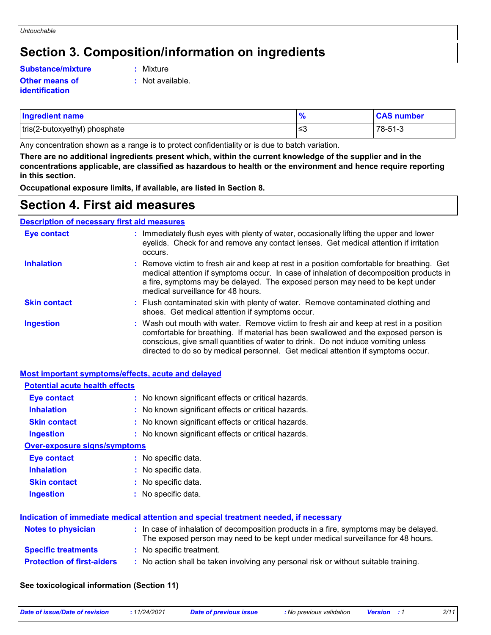# **Section 3. Composition/information on ingredients**

#### **Substance/mixture :**

#### **Other means of identification**

- : Mixture
- **:** Not available.

| <b>Ingredient name</b>        | $\mathbf{a}$ | <b>CAS number</b> |
|-------------------------------|--------------|-------------------|
| tris(2-butoxyethyl) phosphate | ∣≤3          | 78-51-3           |

Any concentration shown as a range is to protect confidentiality or is due to batch variation.

**There are no additional ingredients present which, within the current knowledge of the supplier and in the concentrations applicable, are classified as hazardous to health or the environment and hence require reporting in this section.**

**Occupational exposure limits, if available, are listed in Section 8.**

### **Section 4. First aid measures**

#### **Description of necessary first aid measures**

| Eye contact         | : Immediately flush eyes with plenty of water, occasionally lifting the upper and lower<br>eyelids. Check for and remove any contact lenses. Get medical attention if irritation<br>occurs.                                                                                                                                                            |
|---------------------|--------------------------------------------------------------------------------------------------------------------------------------------------------------------------------------------------------------------------------------------------------------------------------------------------------------------------------------------------------|
| <b>Inhalation</b>   | : Remove victim to fresh air and keep at rest in a position comfortable for breathing. Get<br>medical attention if symptoms occur. In case of inhalation of decomposition products in<br>a fire, symptoms may be delayed. The exposed person may need to be kept under<br>medical surveillance for 48 hours.                                           |
| <b>Skin contact</b> | : Flush contaminated skin with plenty of water. Remove contaminated clothing and<br>shoes. Get medical attention if symptoms occur.                                                                                                                                                                                                                    |
| <b>Ingestion</b>    | : Wash out mouth with water. Remove victim to fresh air and keep at rest in a position<br>comfortable for breathing. If material has been swallowed and the exposed person is<br>conscious, give small quantities of water to drink. Do not induce vomiting unless<br>directed to do so by medical personnel. Get medical attention if symptoms occur. |

| <b>Most important symptoms/effects, acute and delayed</b> |                                                                                                                                                                          |
|-----------------------------------------------------------|--------------------------------------------------------------------------------------------------------------------------------------------------------------------------|
| <b>Potential acute health effects</b>                     |                                                                                                                                                                          |
| Eye contact                                               | : No known significant effects or critical hazards.                                                                                                                      |
| <b>Inhalation</b>                                         | : No known significant effects or critical hazards.                                                                                                                      |
| <b>Skin contact</b>                                       | : No known significant effects or critical hazards.                                                                                                                      |
| <b>Ingestion</b>                                          | : No known significant effects or critical hazards.                                                                                                                      |
| <b>Over-exposure signs/symptoms</b>                       |                                                                                                                                                                          |
| <b>Eye contact</b>                                        | : No specific data.                                                                                                                                                      |
| <b>Inhalation</b>                                         | : No specific data.                                                                                                                                                      |
| <b>Skin contact</b>                                       | : No specific data.                                                                                                                                                      |
| <b>Ingestion</b>                                          | : No specific data.                                                                                                                                                      |
|                                                           | Indication of immediate medical attention and special treatment needed, if necessary                                                                                     |
| <b>Notes to physician</b>                                 | : In case of inhalation of decomposition products in a fire, symptoms may be delayed.<br>The exposed person may need to be kept under medical surveillance for 48 hours. |
| <b>Specific treatments</b>                                | : No specific treatment.                                                                                                                                                 |
| <b>Protection of first-aiders</b>                         | : No action shall be taken involving any personal risk or without suitable training.                                                                                     |

#### **See toxicological information (Section 11)**

| Date of issue/Date of revision | 11/24/2021 | Date of previous issue | : No previous validation | <b>Version</b> : 1 | 2/11 |
|--------------------------------|------------|------------------------|--------------------------|--------------------|------|
|                                |            |                        |                          |                    |      |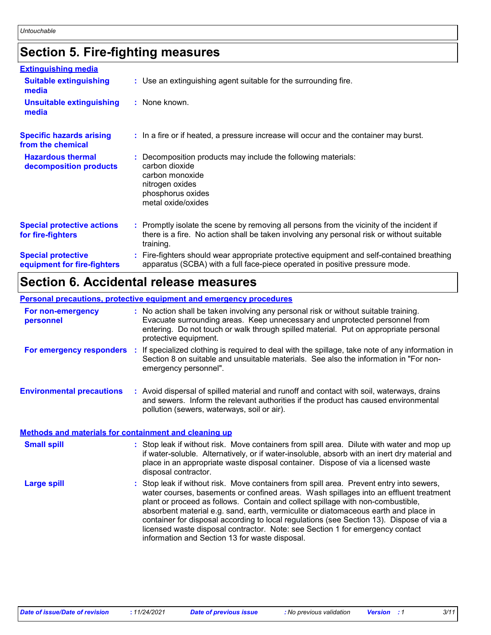# **Section 5. Fire-fighting measures**

| <b>Extinguishing media</b>                               |                                                                                                                                                                                                     |
|----------------------------------------------------------|-----------------------------------------------------------------------------------------------------------------------------------------------------------------------------------------------------|
| <b>Suitable extinguishing</b><br>media                   | : Use an extinguishing agent suitable for the surrounding fire.                                                                                                                                     |
| <b>Unsuitable extinguishing</b><br>media                 | : None known.                                                                                                                                                                                       |
| <b>Specific hazards arising</b><br>from the chemical     | : In a fire or if heated, a pressure increase will occur and the container may burst.                                                                                                               |
| <b>Hazardous thermal</b><br>decomposition products       | Decomposition products may include the following materials:<br>carbon dioxide<br>carbon monoxide<br>nitrogen oxides<br>phosphorus oxides<br>metal oxide/oxides                                      |
| <b>Special protective actions</b><br>for fire-fighters   | : Promptly isolate the scene by removing all persons from the vicinity of the incident if<br>there is a fire. No action shall be taken involving any personal risk or without suitable<br>training. |
| <b>Special protective</b><br>equipment for fire-fighters | : Fire-fighters should wear appropriate protective equipment and self-contained breathing<br>apparatus (SCBA) with a full face-piece operated in positive pressure mode.                            |

## **Section 6. Accidental release measures**

#### **Personal precautions, protective equipment and emergency procedures**

| For non-emergency<br>personnel                               |           | : No action shall be taken involving any personal risk or without suitable training.<br>Evacuate surrounding areas. Keep unnecessary and unprotected personnel from<br>entering. Do not touch or walk through spilled material. Put on appropriate personal<br>protective equipment.                                                                                                                                                                                                                                                                                                       |
|--------------------------------------------------------------|-----------|--------------------------------------------------------------------------------------------------------------------------------------------------------------------------------------------------------------------------------------------------------------------------------------------------------------------------------------------------------------------------------------------------------------------------------------------------------------------------------------------------------------------------------------------------------------------------------------------|
| For emergency responders                                     | <b>CO</b> | If specialized clothing is required to deal with the spillage, take note of any information in<br>Section 8 on suitable and unsuitable materials. See also the information in "For non-<br>emergency personnel".                                                                                                                                                                                                                                                                                                                                                                           |
| <b>Environmental precautions</b>                             |           | : Avoid dispersal of spilled material and runoff and contact with soil, waterways, drains<br>and sewers. Inform the relevant authorities if the product has caused environmental<br>pollution (sewers, waterways, soil or air).                                                                                                                                                                                                                                                                                                                                                            |
| <b>Methods and materials for containment and cleaning up</b> |           |                                                                                                                                                                                                                                                                                                                                                                                                                                                                                                                                                                                            |
| <b>Small spill</b>                                           |           | : Stop leak if without risk. Move containers from spill area. Dilute with water and mop up<br>if water-soluble. Alternatively, or if water-insoluble, absorb with an inert dry material and<br>place in an appropriate waste disposal container. Dispose of via a licensed waste<br>disposal contractor.                                                                                                                                                                                                                                                                                   |
| <b>Large spill</b>                                           |           | : Stop leak if without risk. Move containers from spill area. Prevent entry into sewers,<br>water courses, basements or confined areas. Wash spillages into an effluent treatment<br>plant or proceed as follows. Contain and collect spillage with non-combustible,<br>absorbent material e.g. sand, earth, vermiculite or diatomaceous earth and place in<br>container for disposal according to local regulations (see Section 13). Dispose of via a<br>licensed waste disposal contractor. Note: see Section 1 for emergency contact<br>information and Section 13 for waste disposal. |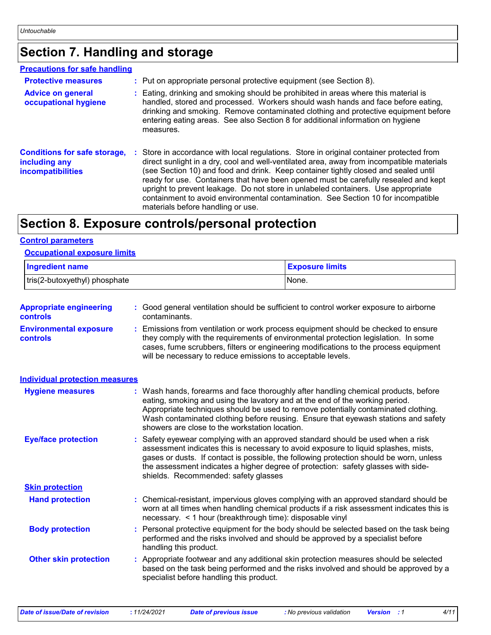# **Section 7. Handling and storage**

#### **Precautions for safe handling**

| <b>Protective measures</b><br><b>Advice on general</b><br>occupational hygiene   | : Put on appropriate personal protective equipment (see Section 8).<br>: Eating, drinking and smoking should be prohibited in areas where this material is<br>handled, stored and processed. Workers should wash hands and face before eating,<br>drinking and smoking. Remove contaminated clothing and protective equipment before<br>entering eating areas. See also Section 8 for additional information on hygiene<br>measures.                                                                                                                                               |
|----------------------------------------------------------------------------------|------------------------------------------------------------------------------------------------------------------------------------------------------------------------------------------------------------------------------------------------------------------------------------------------------------------------------------------------------------------------------------------------------------------------------------------------------------------------------------------------------------------------------------------------------------------------------------|
| <b>Conditions for safe storage,</b><br>including any<br><b>incompatibilities</b> | : Store in accordance with local regulations. Store in original container protected from<br>direct sunlight in a dry, cool and well-ventilated area, away from incompatible materials<br>(see Section 10) and food and drink. Keep container tightly closed and sealed until<br>ready for use. Containers that have been opened must be carefully resealed and kept<br>upright to prevent leakage. Do not store in unlabeled containers. Use appropriate<br>containment to avoid environmental contamination. See Section 10 for incompatible<br>materials before handling or use. |

### **Section 8. Exposure controls/personal protection**

#### **Control parameters**

#### **Occupational exposure limits**

| <b>Ingredient name</b>        | <b>Exposure limits</b> |
|-------------------------------|------------------------|
| tris(2-butoxyethyl) phosphate | None.                  |

| Emissions from ventilation or work process equipment should be checked to ensure<br><b>Environmental exposure</b><br>they comply with the requirements of environmental protection legislation. In some<br><b>controls</b><br>cases, fume scrubbers, filters or engineering modifications to the process equipment<br>will be necessary to reduce emissions to acceptable levels.<br><b>Individual protection measures</b><br>: Wash hands, forearms and face thoroughly after handling chemical products, before<br><b>Hygiene measures</b><br>eating, smoking and using the lavatory and at the end of the working period.<br>Appropriate techniques should be used to remove potentially contaminated clothing.<br>Wash contaminated clothing before reusing. Ensure that eyewash stations and safety<br>showers are close to the workstation location.<br><b>Eye/face protection</b><br>Safety eyewear complying with an approved standard should be used when a risk<br>assessment indicates this is necessary to avoid exposure to liquid splashes, mists,<br>gases or dusts. If contact is possible, the following protection should be worn, unless<br>the assessment indicates a higher degree of protection: safety glasses with side-<br>shields. Recommended: safety glasses<br><b>Skin protection</b><br>: Chemical-resistant, impervious gloves complying with an approved standard should be<br><b>Hand protection</b><br>worn at all times when handling chemical products if a risk assessment indicates this is<br>necessary. < 1 hour (breakthrough time): disposable vinyl<br>: Personal protective equipment for the body should be selected based on the task being<br><b>Body protection</b><br>performed and the risks involved and should be approved by a specialist before<br>handling this product.<br>: Appropriate footwear and any additional skin protection measures should be selected<br><b>Other skin protection</b><br>based on the task being performed and the risks involved and should be approved by a<br>specialist before handling this product. | <b>Appropriate engineering</b><br><b>controls</b> | : Good general ventilation should be sufficient to control worker exposure to airborne<br>contaminants. |
|----------------------------------------------------------------------------------------------------------------------------------------------------------------------------------------------------------------------------------------------------------------------------------------------------------------------------------------------------------------------------------------------------------------------------------------------------------------------------------------------------------------------------------------------------------------------------------------------------------------------------------------------------------------------------------------------------------------------------------------------------------------------------------------------------------------------------------------------------------------------------------------------------------------------------------------------------------------------------------------------------------------------------------------------------------------------------------------------------------------------------------------------------------------------------------------------------------------------------------------------------------------------------------------------------------------------------------------------------------------------------------------------------------------------------------------------------------------------------------------------------------------------------------------------------------------------------------------------------------------------------------------------------------------------------------------------------------------------------------------------------------------------------------------------------------------------------------------------------------------------------------------------------------------------------------------------------------------------------------------------------------------------------------------------------------------------------------------------|---------------------------------------------------|---------------------------------------------------------------------------------------------------------|
|                                                                                                                                                                                                                                                                                                                                                                                                                                                                                                                                                                                                                                                                                                                                                                                                                                                                                                                                                                                                                                                                                                                                                                                                                                                                                                                                                                                                                                                                                                                                                                                                                                                                                                                                                                                                                                                                                                                                                                                                                                                                                              |                                                   |                                                                                                         |
|                                                                                                                                                                                                                                                                                                                                                                                                                                                                                                                                                                                                                                                                                                                                                                                                                                                                                                                                                                                                                                                                                                                                                                                                                                                                                                                                                                                                                                                                                                                                                                                                                                                                                                                                                                                                                                                                                                                                                                                                                                                                                              |                                                   |                                                                                                         |
|                                                                                                                                                                                                                                                                                                                                                                                                                                                                                                                                                                                                                                                                                                                                                                                                                                                                                                                                                                                                                                                                                                                                                                                                                                                                                                                                                                                                                                                                                                                                                                                                                                                                                                                                                                                                                                                                                                                                                                                                                                                                                              |                                                   |                                                                                                         |
|                                                                                                                                                                                                                                                                                                                                                                                                                                                                                                                                                                                                                                                                                                                                                                                                                                                                                                                                                                                                                                                                                                                                                                                                                                                                                                                                                                                                                                                                                                                                                                                                                                                                                                                                                                                                                                                                                                                                                                                                                                                                                              |                                                   |                                                                                                         |
|                                                                                                                                                                                                                                                                                                                                                                                                                                                                                                                                                                                                                                                                                                                                                                                                                                                                                                                                                                                                                                                                                                                                                                                                                                                                                                                                                                                                                                                                                                                                                                                                                                                                                                                                                                                                                                                                                                                                                                                                                                                                                              |                                                   |                                                                                                         |
|                                                                                                                                                                                                                                                                                                                                                                                                                                                                                                                                                                                                                                                                                                                                                                                                                                                                                                                                                                                                                                                                                                                                                                                                                                                                                                                                                                                                                                                                                                                                                                                                                                                                                                                                                                                                                                                                                                                                                                                                                                                                                              |                                                   |                                                                                                         |
|                                                                                                                                                                                                                                                                                                                                                                                                                                                                                                                                                                                                                                                                                                                                                                                                                                                                                                                                                                                                                                                                                                                                                                                                                                                                                                                                                                                                                                                                                                                                                                                                                                                                                                                                                                                                                                                                                                                                                                                                                                                                                              |                                                   |                                                                                                         |
|                                                                                                                                                                                                                                                                                                                                                                                                                                                                                                                                                                                                                                                                                                                                                                                                                                                                                                                                                                                                                                                                                                                                                                                                                                                                                                                                                                                                                                                                                                                                                                                                                                                                                                                                                                                                                                                                                                                                                                                                                                                                                              |                                                   |                                                                                                         |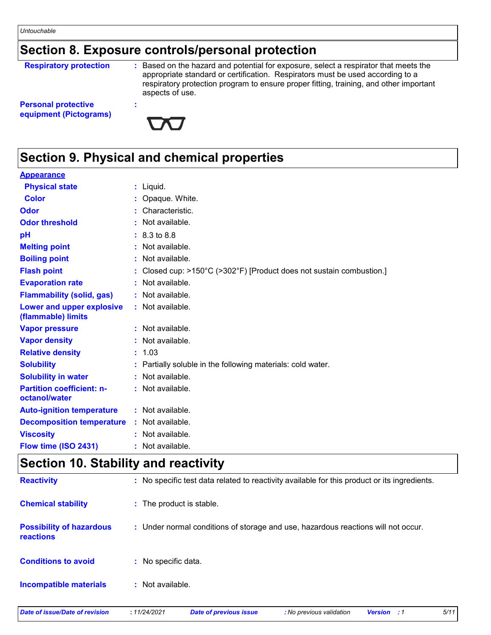# **Section 8. Exposure controls/personal protection**

#### **Respiratory protection :**

: Based on the hazard and potential for exposure, select a respirator that meets the appropriate standard or certification. Respirators must be used according to a respiratory protection program to ensure proper fitting, training, and other important aspects of use.

**Personal protective equipment (Pictograms)**



## **Section 9. Physical and chemical properties**

**:**

| <b>Appearance</b>                                 |                                                                      |
|---------------------------------------------------|----------------------------------------------------------------------|
| <b>Physical state</b>                             | $:$ Liquid.                                                          |
| <b>Color</b>                                      | : Opaque. White.                                                     |
| Odor                                              | : Characteristic.                                                    |
| <b>Odor threshold</b>                             | Not available.                                                       |
| pH                                                | $: 8.3 \text{ to } 8.8$                                              |
| <b>Melting point</b>                              | : Not available.                                                     |
| <b>Boiling point</b>                              | Not available.                                                       |
| <b>Flash point</b>                                | : Closed cup: >150°C (>302°F) [Product does not sustain combustion.] |
| <b>Evaporation rate</b>                           | $:$ Not available.                                                   |
| <b>Flammability (solid, gas)</b>                  | : Not available.                                                     |
| Lower and upper explosive<br>(flammable) limits   | : Not available.                                                     |
| <b>Vapor pressure</b>                             | : Not available.                                                     |
| <b>Vapor density</b>                              | : Not available.                                                     |
| <b>Relative density</b>                           | : 1.03                                                               |
| <b>Solubility</b>                                 | Partially soluble in the following materials: cold water.            |
| <b>Solubility in water</b>                        | : Not available.                                                     |
| <b>Partition coefficient: n-</b><br>octanol/water | : Not available.                                                     |
| <b>Auto-ignition temperature</b>                  | $:$ Not available.                                                   |
| <b>Decomposition temperature</b>                  | $:$ Not available.                                                   |
| <b>Viscosity</b>                                  | : Not available.                                                     |
| Flow time (ISO 2431)                              | : Not available.                                                     |

### **Section 10. Stability and reactivity**

| <b>Reactivity</b>                                   | : No specific test data related to reactivity available for this product or its ingredients. |
|-----------------------------------------------------|----------------------------------------------------------------------------------------------|
| <b>Chemical stability</b>                           | : The product is stable.                                                                     |
| <b>Possibility of hazardous</b><br><b>reactions</b> | : Under normal conditions of storage and use, hazardous reactions will not occur.            |
| <b>Conditions to avoid</b>                          | : No specific data.                                                                          |
| <b>Incompatible materials</b>                       | $:$ Not available.                                                                           |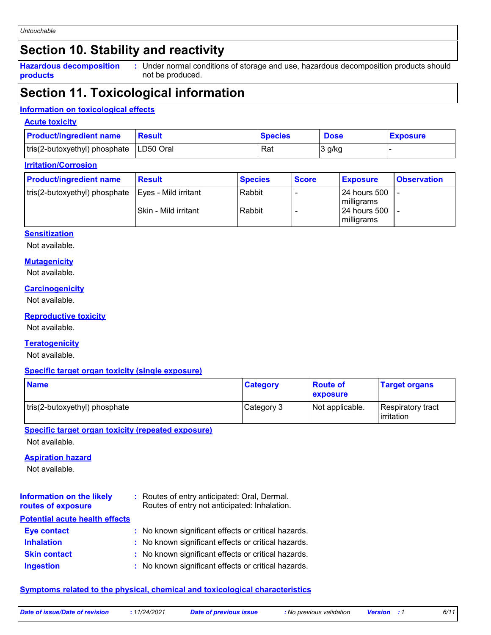# **Section 10. Stability and reactivity**

**Hazardous decomposition products**

Under normal conditions of storage and use, hazardous decomposition products should **:** not be produced.

# **Section 11. Toxicological information**

#### **Information on toxicological effects**

#### **Acute toxicity**

| <b>Product/ingredient name</b>            | <b>Result</b> | <b>Species</b> | <b>Dose</b> | <b>Exposure</b> |
|-------------------------------------------|---------------|----------------|-------------|-----------------|
| tris(2-butoxyethyl) phosphate   LD50 Oral |               | Rat            | 3 g/kg      |                 |

#### **Irritation/Corrosion**

| <b>Product/ingredient name</b>                       | <b>Result</b>          | <b>Species</b> | <b>Score</b> | <b>Exposure</b>                   | <b>Observation</b> |
|------------------------------------------------------|------------------------|----------------|--------------|-----------------------------------|--------------------|
| tris(2-butoxyethyl) phosphate   Eyes - Mild irritant |                        | Rabbit         |              | <b>24 hours 500</b><br>milligrams |                    |
|                                                      | l Skin - Mild irritant | Rabbit         |              | <b>24 hours 500</b>               |                    |
|                                                      |                        |                |              | milligrams                        |                    |

#### **Sensitization**

Not available.

#### **Mutagenicity**

Not available.

#### **Carcinogenicity**

Not available.

#### **Reproductive toxicity**

Not available.

#### **Teratogenicity**

Not available.

#### **Specific target organ toxicity (single exposure)**

| <b>Name</b>                   | <b>Category</b> | <b>Route of</b><br><b>exposure</b> | <b>Target organs</b>                     |
|-------------------------------|-----------------|------------------------------------|------------------------------------------|
| tris(2-butoxyethyl) phosphate | Category 3      | Not applicable.                    | Respiratory tract<br><b>l</b> irritation |

**Specific target organ toxicity (repeated exposure)**

Not available.

#### **Aspiration hazard**

Not available.

| <b>Information on the likely</b><br>routes of exposure | : Routes of entry anticipated: Oral, Dermal.<br>Routes of entry not anticipated: Inhalation. |
|--------------------------------------------------------|----------------------------------------------------------------------------------------------|
| <b>Potential acute health effects</b>                  |                                                                                              |
| <b>Eye contact</b>                                     | : No known significant effects or critical hazards.                                          |
| <b>Inhalation</b>                                      | : No known significant effects or critical hazards.                                          |
| <b>Skin contact</b>                                    | : No known significant effects or critical hazards.                                          |
| <b>Ingestion</b>                                       | : No known significant effects or critical hazards.                                          |

#### **Symptoms related to the physical, chemical and toxicological characteristics**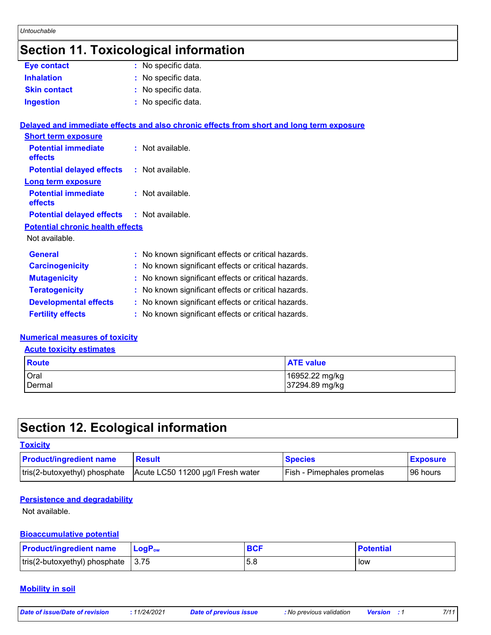#### *Untouchable*

# **Section 11. Toxicological information**

| <b>Eye contact</b>  | : No specific data. |
|---------------------|---------------------|
| <b>Inhalation</b>   | : No specific data. |
| <b>Skin contact</b> | : No specific data. |
| <b>Ingestion</b>    | : No specific data. |

|                                                   | Delayed and immediate effects and also chronic effects from short and long term exposure |
|---------------------------------------------------|------------------------------------------------------------------------------------------|
| <b>Short term exposure</b>                        |                                                                                          |
| <b>Potential immediate</b><br>effects             | $:$ Not available.                                                                       |
| <b>Potential delayed effects</b>                  | : Not available.                                                                         |
| <b>Long term exposure</b>                         |                                                                                          |
| <b>Potential immediate</b><br>effects             | $:$ Not available.                                                                       |
| <b>Potential delayed effects : Not available.</b> |                                                                                          |
| <b>Potential chronic health effects</b>           |                                                                                          |
| Not available.                                    |                                                                                          |
| <b>General</b>                                    | : No known significant effects or critical hazards.                                      |
| <b>Carcinogenicity</b>                            | : No known significant effects or critical hazards.                                      |
| <b>Mutagenicity</b>                               | : No known significant effects or critical hazards.                                      |
| <b>Teratogenicity</b>                             | : No known significant effects or critical hazards.                                      |
| <b>Developmental effects</b>                      | : No known significant effects or critical hazards.                                      |
| <b>Fertility effects</b>                          | : No known significant effects or critical hazards.                                      |

#### **Numerical measures of toxicity**

**Acute toxicity estimates**

| Route         | <b>ATE value</b> |
|---------------|------------------|
| Oral          | 16952.22 mg/kg   |
| <b>Dermal</b> | 37294.89 mg/kg   |

# **Section 12. Ecological information**

| <b>Toxicity</b> |  |  |
|-----------------|--|--|
|                 |  |  |
|                 |  |  |

| <b>Product/ingredient name</b> | <b>Result</b>                     | <b>Species</b>                    | <b>Exposure</b> |
|--------------------------------|-----------------------------------|-----------------------------------|-----------------|
| tris(2-butoxyethyl) phosphate  | Acute LC50 11200 µg/l Fresh water | <b>Fish - Pimephales promelas</b> | 96 hours        |

#### **Persistence and degradability**

Not available.

#### **Bioaccumulative potential**

| <b>Product/ingredient name</b>       | <b>LoaP</b> <sub>ow</sub> | <b>BCF</b> | <b>Potential</b> |
|--------------------------------------|---------------------------|------------|------------------|
| tris(2-butoxyethyl) phosphate   3.75 |                           | 5.8        | l low            |

#### **Mobility in soil**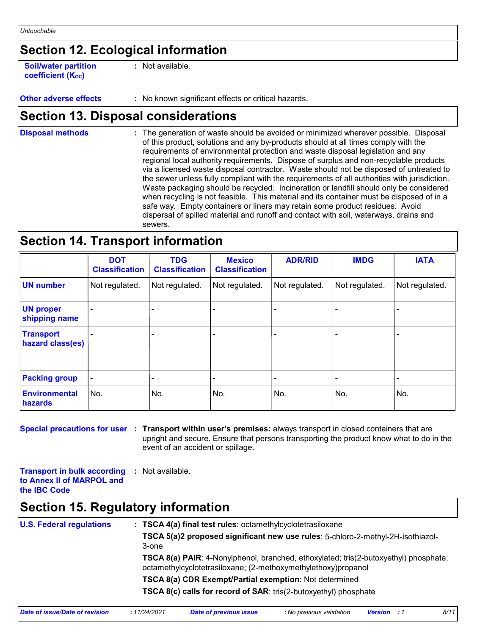# **Section 12. Ecological information**

**Soil/water partition coefficient (Koc)** 

**:** Not available.

**Other adverse effects** : No known significant effects or critical hazards.

### **Section 13. Disposal considerations**

The generation of waste should be avoided or minimized wherever possible. Disposal of this product, solutions and any by-products should at all times comply with the requirements of environmental protection and waste disposal legislation and any regional local authority requirements. Dispose of surplus and non-recyclable products via a licensed waste disposal contractor. Waste should not be disposed of untreated to the sewer unless fully compliant with the requirements of all authorities with jurisdiction. Waste packaging should be recycled. Incineration or landfill should only be considered when recycling is not feasible. This material and its container must be disposed of in a safe way. Empty containers or liners may retain some product residues. Avoid dispersal of spilled material and runoff and contact with soil, waterways, drains and sewers. **Disposal methods :**

### **Section 14. Transport information**

|                                      | <b>DOT</b><br><b>Classification</b> | <b>TDG</b><br><b>Classification</b> | <b>Mexico</b><br><b>Classification</b> | <b>ADR/RID</b> | <b>IMDG</b>    | <b>IATA</b>    |
|--------------------------------------|-------------------------------------|-------------------------------------|----------------------------------------|----------------|----------------|----------------|
| <b>UN number</b>                     | Not regulated.                      | Not regulated.                      | Not regulated.                         | Not regulated. | Not regulated. | Not regulated. |
| <b>UN proper</b><br>shipping name    |                                     |                                     |                                        |                |                |                |
| <b>Transport</b><br>hazard class(es) |                                     |                                     |                                        |                |                |                |
| <b>Packing group</b>                 |                                     |                                     |                                        |                |                |                |
| Environmental<br>hazards             | No.                                 | No.                                 | No.                                    | No.            | No.            | No.            |

**Special precautions for user** : Transport within user's premises: always transport in closed containers that are upright and secure. Ensure that persons transporting the product know what to do in the event of an accident or spillage.

**Transport in bulk according :** Not available. **to Annex II of MARPOL and the IBC Code**

### **Section 15. Regulatory information**

| <b>U.S. Federal regulations</b> | : TSCA 4(a) final test rules: octamethylcyclotetrasiloxane<br>TSCA 5(a)2 proposed significant new use rules: 5-chloro-2-methyl-2H-isothiazol-<br>3-one<br>TSCA 8(a) PAIR: 4-Nonylphenol, branched, ethoxylated; tris(2-butoxyethyl) phosphate;<br>octamethylcyclotetrasiloxane; (2-methoxymethylethoxy)propanol |             |                        |                          |                    |      |  |                                                        |  |                                                                         |  |  |  |  |  |
|---------------------------------|-----------------------------------------------------------------------------------------------------------------------------------------------------------------------------------------------------------------------------------------------------------------------------------------------------------------|-------------|------------------------|--------------------------|--------------------|------|--|--------------------------------------------------------|--|-------------------------------------------------------------------------|--|--|--|--|--|
|                                 |                                                                                                                                                                                                                                                                                                                 |             |                        |                          |                    |      |  | TSCA 8(a) CDR Exempt/Partial exemption: Not determined |  |                                                                         |  |  |  |  |  |
|                                 |                                                                                                                                                                                                                                                                                                                 |             |                        |                          |                    |      |  |                                                        |  | <b>TSCA 8(c) calls for record of SAR:</b> tris(2-butoxyethyl) phosphate |  |  |  |  |  |
|                                 | Date of issue/Date of revision                                                                                                                                                                                                                                                                                  | :11/24/2021 | Date of previous issue | : No previous validation | <b>Version</b> : 1 | 8/11 |  |                                                        |  |                                                                         |  |  |  |  |  |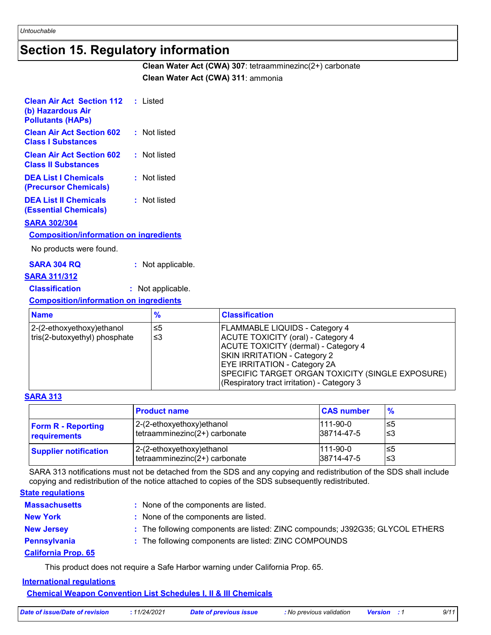### **Section 15. Regulatory information**

**Clean Water Act (CWA) 307**: tetraamminezinc(2+) carbonate **Clean Water Act (CWA) 311**: ammonia

| <b>Clean Air Act Section 112 : Listed</b><br>(b) Hazardous Air<br><b>Pollutants (HAPs)</b> |              |
|--------------------------------------------------------------------------------------------|--------------|
| <b>Clean Air Act Section 602</b><br><b>Class I Substances</b>                              | : Not listed |
| <b>Clean Air Act Section 602</b><br><b>Class II Substances</b>                             | : Not listed |
| <b>DEA List I Chemicals</b><br>(Precursor Chemicals)                                       | : Not listed |
| <b>DEA List II Chemicals</b><br>(Essential Chemicals)                                      | : Not listed |

#### **SARA 302/304**

#### **Composition/information on ingredients**

No products were found.

#### **SARA 304 RQ :** Not applicable.

#### **SARA 311/312**

#### **Classification :** Not applicable.

#### **Composition/information on ingredients**

| <b>Name</b>                   | %  | <b>Classification</b>                                                                                                                                                                                                                                       |
|-------------------------------|----|-------------------------------------------------------------------------------------------------------------------------------------------------------------------------------------------------------------------------------------------------------------|
| 2-(2-ethoxyethoxy)ethanol     | ≤5 | FLAMMABLE LIQUIDS - Category 4                                                                                                                                                                                                                              |
| tris(2-butoxyethyl) phosphate | ≤3 | ACUTE TOXICITY (oral) - Category 4<br>ACUTE TOXICITY (dermal) - Category 4<br><b>SKIN IRRITATION - Category 2</b><br><b>EYE IRRITATION - Category 2A</b><br>SPECIFIC TARGET ORGAN TOXICITY (SINGLE EXPOSURE)<br>(Respiratory tract irritation) - Category 3 |

#### **SARA 313**

|                              | <b>Product name</b>           | <b>CAS number</b> | $\frac{9}{6}$ |
|------------------------------|-------------------------------|-------------------|---------------|
| <b>Form R - Reporting</b>    | 2-(2-ethoxyethoxy) ethanol    | $ 111 - 90 - 0 $  | l≤5           |
| requirements                 | tetraamminezinc(2+) carbonate | 38714-47-5        | l≤3           |
| <b>Supplier notification</b> | 2-(2-ethoxyethoxy) ethanol    | $111-90-0$        | l≤5           |
|                              | tetraamminezinc(2+) carbonate | 38714-47-5        | l≤3           |

SARA 313 notifications must not be detached from the SDS and any copying and redistribution of the SDS shall include copying and redistribution of the notice attached to copies of the SDS subsequently redistributed.

#### **State regulations**

| <b>Massachusetts</b>       | : None of the components are listed.                                          |
|----------------------------|-------------------------------------------------------------------------------|
| <b>New York</b>            | : None of the components are listed.                                          |
| <b>New Jersey</b>          | : The following components are listed: ZINC compounds; J392G35; GLYCOL ETHERS |
| Pennsylvania               | : The following components are listed: ZINC COMPOUNDS                         |
| <b>California Prop. 65</b> |                                                                               |

This product does not require a Safe Harbor warning under California Prop. 65.

### **International regulations**

**Chemical Weapon Convention List Schedules I, II & III Chemicals**

| Date of issue/Date of revision | 11/24/2021 | Date of previous issue | : No previous validation | <b>Version</b> : 1 |  |
|--------------------------------|------------|------------------------|--------------------------|--------------------|--|
|                                |            |                        |                          |                    |  |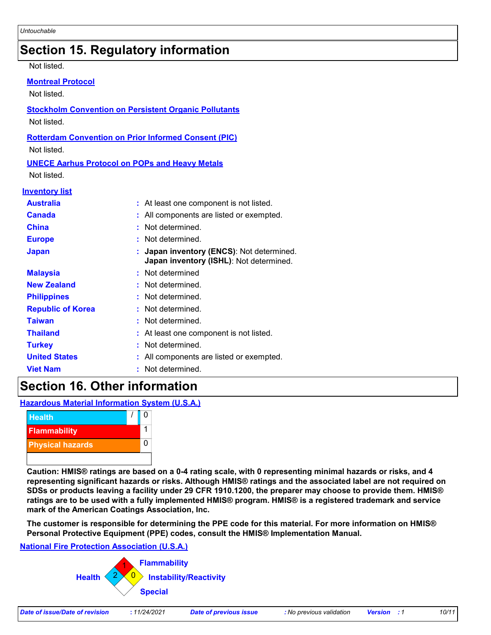# **Section 15. Regulatory information**

#### Not listed.

#### **Montreal Protocol**

Not listed.

**Stockholm Convention on Persistent Organic Pollutants** Not listed.

#### **Rotterdam Convention on Prior Informed Consent (PIC)**

Not listed.

#### **UNECE Aarhus Protocol on POPs and Heavy Metals**

Not listed.

#### **Inventory list**

| <b>Australia</b>         | : At least one component is not listed.                                              |
|--------------------------|--------------------------------------------------------------------------------------|
| <b>Canada</b>            | : All components are listed or exempted.                                             |
| China                    | : Not determined.                                                                    |
| <b>Europe</b>            | : Not determined.                                                                    |
| <b>Japan</b>             | : Japan inventory (ENCS): Not determined.<br>Japan inventory (ISHL): Not determined. |
| <b>Malaysia</b>          | : Not determined                                                                     |
| <b>New Zealand</b>       | : Not determined.                                                                    |
| <b>Philippines</b>       | : Not determined.                                                                    |
| <b>Republic of Korea</b> | : Not determined.                                                                    |
| <b>Taiwan</b>            | : Not determined.                                                                    |
| <b>Thailand</b>          | : At least one component is not listed.                                              |
| <b>Turkey</b>            | : Not determined.                                                                    |
| <b>United States</b>     | : All components are listed or exempted.                                             |
| <b>Viet Nam</b>          | : Not determined.                                                                    |

### **Section 16. Other information**

**Hazardous Material Information System (U.S.A.)**



**Caution: HMIS® ratings are based on a 0-4 rating scale, with 0 representing minimal hazards or risks, and 4 representing significant hazards or risks. Although HMIS® ratings and the associated label are not required on SDSs or products leaving a facility under 29 CFR 1910.1200, the preparer may choose to provide them. HMIS® ratings are to be used with a fully implemented HMIS® program. HMIS® is a registered trademark and service mark of the American Coatings Association, Inc.**

**The customer is responsible for determining the PPE code for this material. For more information on HMIS® Personal Protective Equipment (PPE) codes, consult the HMIS® Implementation Manual.**

#### **National Fire Protection Association (U.S.A.)**